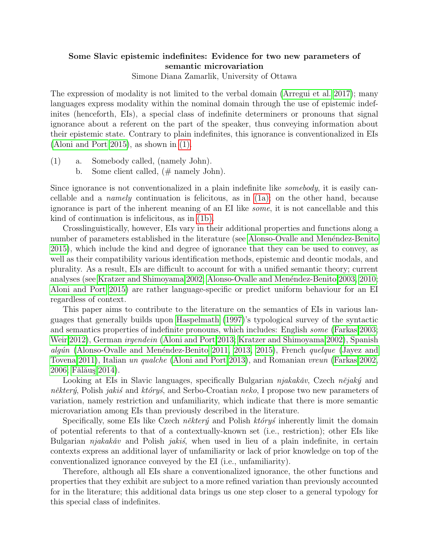## Some Slavic epistemic indefinites: Evidence for two new parameters of semantic microvariation

Simone Diana Zamarlik, University of Ottawa

The expression of modality is not limited to the verbal domain [\(Arregui et al. 2017\)](#page-1-0); many languages express modality within the nominal domain through the use of epistemic indefinites (henceforth, EIs), a special class of indefinite determiners or pronouns that signal ignorance about a referent on the part of the speaker, thus conveying information about their epistemic state. Contrary to plain indefinites, this ignorance is conventionalized in EIs [\(Aloni and Port 2015\)](#page-1-1), as shown in [\(1\).](#page-0-0)

- <span id="page-0-2"></span><span id="page-0-1"></span><span id="page-0-0"></span>(1) a. Somebody called, (namely John).
	- b. Some client called,  $(\# \text{ namely John}).$

Since ignorance is not conventionalized in a plain indefinite like somebody, it is easily cancellable and a *namely* continuation is felicitous, as in  $(1a)$ ; on the other hand, because ignorance is part of the inherent meaning of an EI like some, it is not cancellable and this kind of continuation is infelicitous, as in [\(1b\).](#page-0-2)

Crosslinguistically, however, EIs vary in their additional properties and functions along a number of parameters established in the literature (see Alonso-Ovalle and Menéndez-Benito [2015\)](#page-1-2), which include the kind and degree of ignorance that they can be used to convey, as well as their compatibility various identification methods, epistemic and deontic modals, and plurality. As a result, EIs are difficult to account for with a unified semantic theory; current analyses (see [Kratzer and Shimoyama 2002;](#page-1-3) Alonso-Ovalle and Menéndez-Benito 2003, [2010;](#page-1-5) [Aloni and Port 2015\)](#page-1-1) are rather language-specific or predict uniform behaviour for an EI regardless of context.

This paper aims to contribute to the literature on the semantics of EIs in various languages that generally builds upon [Haspelmath](#page-1-6) [\(1997\)](#page-1-6)'s typological survey of the syntactic and semantics properties of indefinite pronouns, which includes: English some [\(Farkas 2003;](#page-1-7) [Weir 2012\)](#page-1-8), German irgendein [\(Aloni and Port 2013;](#page-1-9) [Kratzer and Shimoyama 2002\)](#page-1-3), Spanish algún (Alonso-Ovalle and Menéndez-Benito 2011, [2013,](#page-1-11) [2015\)](#page-1-2), French quelque [\(Jayez and](#page-1-12) [Tovena 2011\)](#page-1-12), Italian un qualche [\(Aloni and Port 2013\)](#page-1-9), and Romanian vreun [\(Farkas 2002,](#page-1-13) [2006;](#page-1-14) Fălăuş 2014).

Looking at EIs in Slavic languages, specifically Bulgarian  $njakak\check{a}v$ , Czech  $n\check{e}jak\check{y}$  and některý, Polish jakis and którys, and Serbo-Croatian neko, I propose two new parameters of variation, namely restriction and unfamiliarity, which indicate that there is more semantic microvariation among EIs than previously described in the literature.

Specifically, some EIs like Czech *některý* and Polish *któryś* inherently limit the domain of potential referents to that of a contextually-known set (i.e., restriction); other EIs like Bulgarian  $njakak\ddot{a}v$  and Polish *jakis*, when used in lieu of a plain indefinite, in certain contexts express an additional layer of unfamiliarity or lack of prior knowledge on top of the conventionalized ignorance conveyed by the EI (i.e., unfamiliarity).

Therefore, although all EIs share a conventionalized ignorance, the other functions and properties that they exhibit are subject to a more refined variation than previously accounted for in the literature; this additional data brings us one step closer to a general typology for this special class of indefinites.